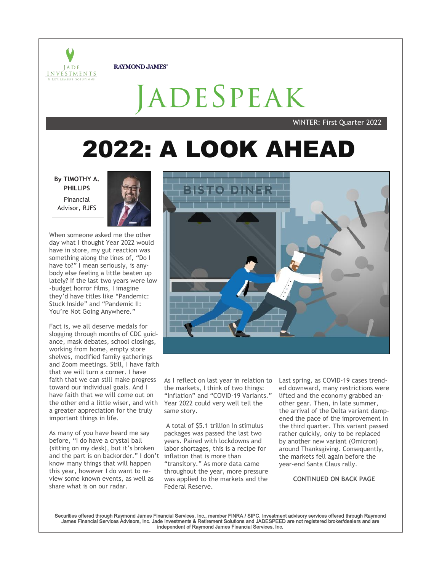

**RAYMOND JAMES®** 

ADESPEAK

WINTER: First Quarter 2022

# **2022: A LOOK AHEAD**

**By TIMOTHY A. PHILLIPS** Financial Advisor, RJFS



When someone asked me the other day what I thought Year 2022 would have in store, my gut reaction was something along the lines of, "Do I have to?" I mean seriously, is anybody else feeling a little beaten up lately? If the last two years were low -budget horror films, I imagine they'd have titles like "Pandemic: Stuck Inside" and "Pandemic II: You're Not Going Anywhere."

Fact is, we all deserve medals for slogging through months of CDC guidance, mask debates, school closings, working from home, empty store shelves, modified family gatherings and Zoom meetings. Still, I have faith that we will turn a corner. I have faith that we can still make progress toward our individual goals. And I have faith that we will come out on the other end a little wiser, and with a greater appreciation for the truly important things in life.

As many of you have heard me say before, "I do have a crystal ball (sitting on my desk), but it's broken and the part is on backorder." I don't inflation that is more than know many things that will happen this year, however I do want to review some known events, as well as share what is on our radar.



As I reflect on last year in relation to the markets, I think of two things: "Inflation" and "COVID-19 Variants." Year 2022 could very well tell the same story.

A total of \$5.1 trillion in stimulus packages was passed the last two years. Paired with lockdowns and labor shortages, this is a recipe for "transitory." As more data came throughout the year, more pressure was applied to the markets and the Federal Reserve.

Last spring, as COVID-19 cases trended downward, many restrictions were lifted and the economy grabbed another gear. Then, in late summer, the arrival of the Delta variant dampened the pace of the improvement in the third quarter. This variant passed rather quickly, only to be replaced by another new variant (Omicron) around Thanksgiving. Consequently, the markets fell again before the year-end Santa Claus rally.

### **CONTINUED ON BACK PAGE**

Securities offered through Raymond James Financial Services, Inc., member FINRA / SIPC. Investment advisory services offered through Raymond James Financial Services Advisors, Inc. Jade Investments & Retirement Solutions and JADESPEED are not registered broker/dealers and are independent of Raymond James Financial Services, Inc.